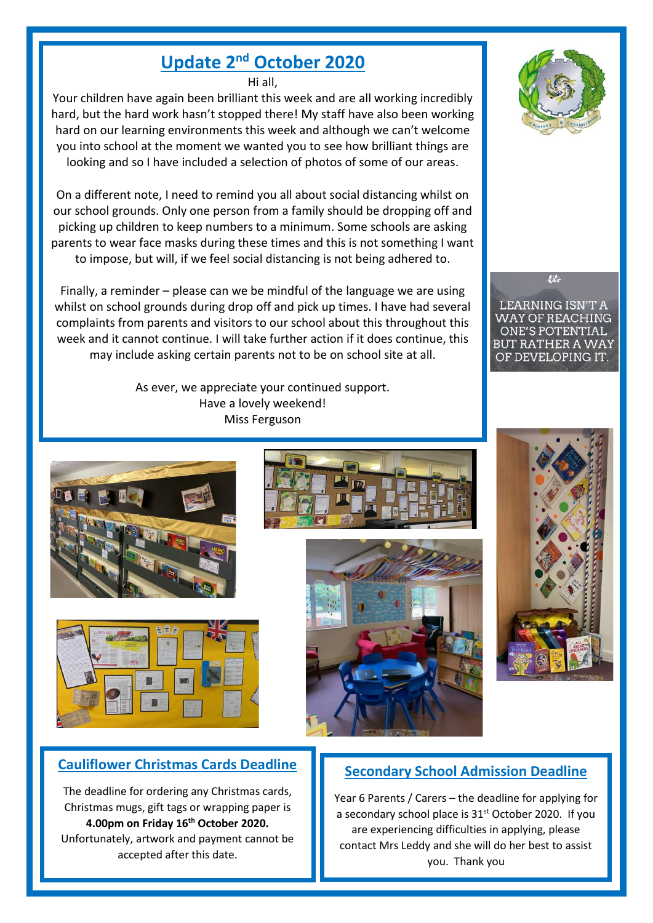# **Update 2 nd October 2020**

Hi all,

Your children have again been brilliant this week and are all working incredibly hard, but the hard work hasn't stopped there! My staff have also been working hard on our learning environments this week and although we can't welcome you into school at the moment we wanted you to see how brilliant things are looking and so I have included a selection of photos of some of our areas.

On a different note, I need to remind you all about social distancing whilst on our school grounds. Only one person from a family should be dropping off and picking up children to keep numbers to a minimum. Some schools are asking parents to wear face masks during these times and this is not something I want to impose, but will, if we feel social distancing is not being adhered to.

Finally, a reminder – please can we be mindful of the language we are using whilst on school grounds during drop off and pick up times. I have had several complaints from parents and visitors to our school about this throughout this week and it cannot continue. I will take further action if it does continue, this may include asking certain parents not to be on school site at all.

> As ever, we appreciate your continued support. Have a lovely weekend! Miss Ferguson





# **Cauliflower Christmas Cards Deadline**

The deadline for ordering any Christmas cards, Christmas mugs, gift tags or wrapping paper is **4.00pm on Friday 16th October 2020.** Unfortunately, artwork and payment cannot be accepted after this date.







器

**LEARNING ISN'T A WAY OF REACHING ONE'S POTENTIAL** BUT RATHER A WAY OF DEVELOPING IT.



# **Secondary School Admission Deadline**

Year 6 Parents / Carers – the deadline for applying for a secondary school place is 31<sup>st</sup> October 2020. If you are experiencing difficulties in applying, please contact Mrs Leddy and she will do her best to assist you. Thank you